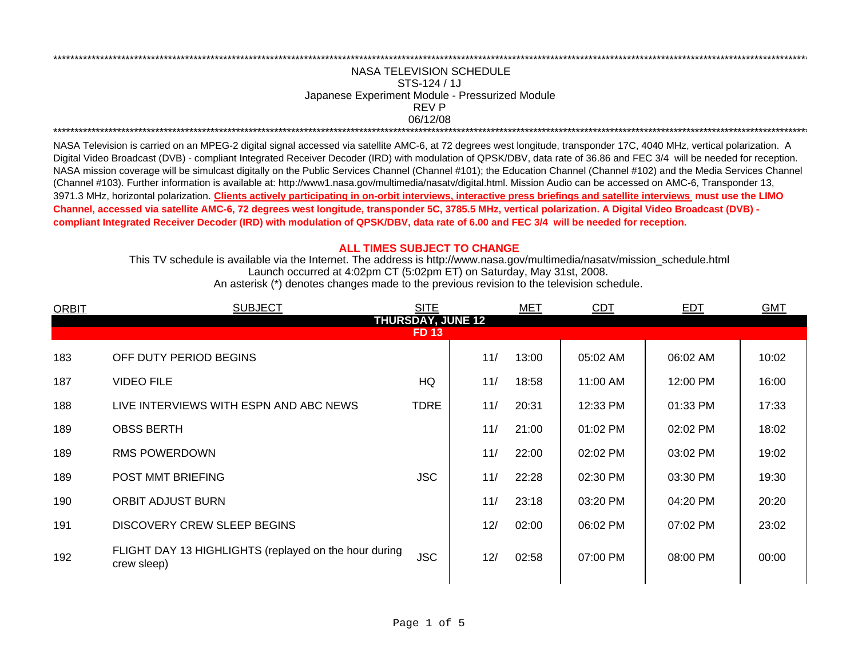## REV PNASA TELEVISION SCHEDULESTS-124 / 1JJapanese Experiment Module - Pressurized Module 06/12/08 \*\*\*\*\*\*\*\*\*\*\*\*\*\*\*\*\*\*\*\*\*\*\*\*\*\*\*\*\*\*\*\*\*\*\*\*\*\*\*\*\*\*\*\*\*\*\*\*\*\*\*\*\*\*\*\*\*\*\*\*\*\*\*\*\*\*\*\*\*\*\*\*\*\*\*\*\*\*\*\*\*\*\*\*\*\*\*\*\*\*\*\*\*\*\*\*\*\*\*\*\*\*\*\*\*\*\*\*\*\*\*\*\*\*\*\*\*\*\*\*\*\*\*\*\*\*\*\*\*\*\*\*\*\*\*\*\*\*\*\*\*\*\*\*\*\*\*\*\*\*\*\*\*\*\*\*\*\*\*\*\*\*\*\*\*\*\*\*\*\*\*\*\*\*\*\*\*\*

\*\*\*\*\*\*\*\*\*\*\*\*\*\*\*\*\*\*\*\*\*\*\*\*\*\*\*\*\*\*\*\*\*\*\*\*\*\*\*\*\*\*\*\*\*\*\*\*\*\*\*\*\*\*\*\*\*\*\*\*\*\*\*\*\*\*\*\*\*\*\*\*\*\*\*\*\*\*\*\*\*\*\*\*\*\*\*\*\*\*\*\*\*\*\*\*\*\*\*\*\*\*\*\*\*\*\*\*\*\*\*\*\*\*\*\*\*\*\*\*\*\*\*\*\*\*\*\*\*\*\*\*\*\*\*\*\*\*\*\*\*\*\*\*\*\*\*\*\*\*\*\*\*\*\*\*\*\*\*\*\*\*\*\*\*\*\*\*\*\*\*\*\*\*\*\*\*\*

NASA Television is carried on an MPEG-2 digital signal accessed via satellite AMC-6, at 72 degrees west longitude, transponder 17C, 4040 MHz, vertical polarization. A Digital Video Broadcast (DVB) - compliant Integrated Receiver Decoder (IRD) with modulation of QPSK/DBV, data rate of 36.86 and FEC 3/4 will be needed for reception. NASA mission coverage will be simulcast digitally on the Public Services Channel (Channel #101); the Education Channel (Channel #102) and the Media Services Channel (Channel #103). Further information is available at: http://www1.nasa.gov/multimedia/nasatv/digital.html. Mission Audio can be accessed on AMC-6, Transponder 13, 3971.3 MHz, horizontal polarization. **Clients actively participating in on-orbit interviews, interactive press briefings and satellite interviews must use the LIMO Channel, accessed via satellite AMC-6, 72 degrees west longitude, transponder 5C, 3785.5 MHz, vertical polarization. A Digital Video Broadcast (DVB) compliant Integrated Receiver Decoder (IRD) with modulation of QPSK/DBV, data rate of 6.00 and FEC 3/4 will be needed for reception.**

## **ALL TIMES SUBJECT TO CHANGE**

Launch occurred at 4:02pm CT (5:02pm ET) on Saturday, May 31st, 2008. This TV schedule is available via the Internet. The address is http://www.nasa.gov/multimedia/nasatv/mission\_schedule.html

| An asterisk (*) denotes changes made to the previous revision to the television schedule. |  |  |  |  |
|-------------------------------------------------------------------------------------------|--|--|--|--|
|                                                                                           |  |  |  |  |

| <b>ORBIT</b> | <b>SUBJECT</b>                                                       | <b>SITE</b>              |     | <b>MET</b> | <b>CDT</b> | EDT      | <b>GMT</b> |
|--------------|----------------------------------------------------------------------|--------------------------|-----|------------|------------|----------|------------|
|              |                                                                      | <b>THURSDAY, JUNE 12</b> |     |            |            |          |            |
|              |                                                                      | <b>FD 13</b>             |     |            |            |          |            |
| 183          | OFF DUTY PERIOD BEGINS                                               |                          | 11/ | 13:00      | 05:02 AM   | 06:02 AM | 10:02      |
| 187          | <b>VIDEO FILE</b>                                                    | HQ                       | 11/ | 18:58      | 11:00 AM   | 12:00 PM | 16:00      |
| 188          | LIVE INTERVIEWS WITH ESPN AND ABC NEWS                               | <b>TDRE</b>              | 11/ | 20:31      | 12:33 PM   | 01:33 PM | 17:33      |
| 189          | <b>OBSS BERTH</b>                                                    |                          | 11/ | 21:00      | $01:02$ PM | 02:02 PM | 18:02      |
| 189          | <b>RMS POWERDOWN</b>                                                 |                          | 11/ | 22:00      | 02:02 PM   | 03:02 PM | 19:02      |
| 189          | POST MMT BRIEFING                                                    | <b>JSC</b>               | 11/ | 22:28      | 02:30 PM   | 03:30 PM | 19:30      |
| 190          | ORBIT ADJUST BURN                                                    |                          | 11/ | 23:18      | 03:20 PM   | 04:20 PM | 20:20      |
| 191          | <b>DISCOVERY CREW SLEEP BEGINS</b>                                   |                          | 12/ | 02:00      | 06:02 PM   | 07:02 PM | 23:02      |
| 192          | FLIGHT DAY 13 HIGHLIGHTS (replayed on the hour during<br>crew sleep) | <b>JSC</b>               | 12/ | 02:58      | 07:00 PM   | 08:00 PM | 00:00      |
|              |                                                                      |                          |     |            |            |          |            |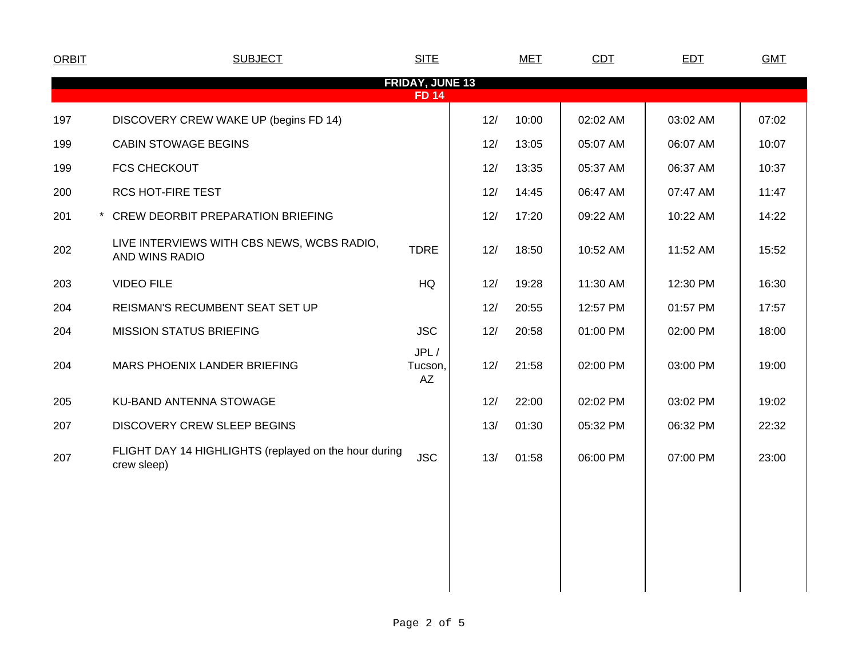| <b>ORBIT</b>                           | <b>SUBJECT</b>                                                       | <b>SITE</b>           |     | <b>MET</b> | CDT      | <b>EDT</b> | <b>GMT</b> |  |
|----------------------------------------|----------------------------------------------------------------------|-----------------------|-----|------------|----------|------------|------------|--|
| <b>FRIDAY, JUNE 13</b><br><b>FD 14</b> |                                                                      |                       |     |            |          |            |            |  |
| 197                                    | DISCOVERY CREW WAKE UP (begins FD 14)                                |                       | 12/ | 10:00      | 02:02 AM | 03:02 AM   | 07:02      |  |
| 199                                    | <b>CABIN STOWAGE BEGINS</b>                                          |                       | 12/ | 13:05      | 05:07 AM | 06:07 AM   | 10:07      |  |
| 199                                    | <b>FCS CHECKOUT</b>                                                  |                       | 12/ | 13:35      | 05:37 AM | 06:37 AM   | 10:37      |  |
| 200                                    | <b>RCS HOT-FIRE TEST</b>                                             |                       | 12/ | 14:45      | 06:47 AM | 07:47 AM   | 11:47      |  |
| 201                                    | * CREW DEORBIT PREPARATION BRIEFING                                  |                       | 12/ | 17:20      | 09:22 AM | 10:22 AM   | 14:22      |  |
| 202                                    | LIVE INTERVIEWS WITH CBS NEWS, WCBS RADIO,<br>AND WINS RADIO         | <b>TDRE</b>           | 12/ | 18:50      | 10:52 AM | 11:52 AM   | 15:52      |  |
| 203                                    | <b>VIDEO FILE</b>                                                    | HQ                    | 12/ | 19:28      | 11:30 AM | 12:30 PM   | 16:30      |  |
| 204                                    | REISMAN'S RECUMBENT SEAT SET UP                                      |                       | 12/ | 20:55      | 12:57 PM | 01:57 PM   | 17:57      |  |
| 204                                    | <b>MISSION STATUS BRIEFING</b>                                       | <b>JSC</b>            | 12/ | 20:58      | 01:00 PM | 02:00 PM   | 18:00      |  |
| 204                                    | MARS PHOENIX LANDER BRIEFING                                         | JPL/<br>Tucson,<br>AZ | 12/ | 21:58      | 02:00 PM | 03:00 PM   | 19:00      |  |
| 205                                    | KU-BAND ANTENNA STOWAGE                                              |                       | 12/ | 22:00      | 02:02 PM | 03:02 PM   | 19:02      |  |
| 207                                    | <b>DISCOVERY CREW SLEEP BEGINS</b>                                   |                       | 13/ | 01:30      | 05:32 PM | 06:32 PM   | 22:32      |  |
| 207                                    | FLIGHT DAY 14 HIGHLIGHTS (replayed on the hour during<br>crew sleep) | <b>JSC</b>            | 13/ | 01:58      | 06:00 PM | 07:00 PM   | 23:00      |  |
|                                        |                                                                      |                       |     |            |          |            |            |  |
|                                        |                                                                      |                       |     |            |          |            |            |  |
|                                        |                                                                      |                       |     |            |          |            |            |  |
|                                        |                                                                      |                       |     |            |          |            |            |  |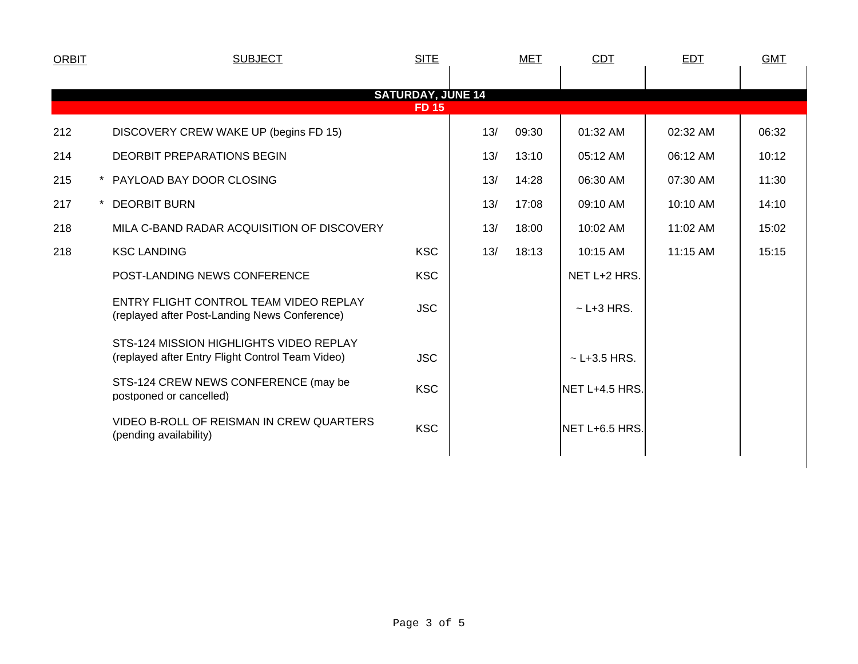| <b>ORBIT</b> | <b>SUBJECT</b>                                                                              | <b>SITE</b>                              |     | <b>MET</b> | <b>CDT</b>        | <b>EDT</b> | <b>GMT</b> |
|--------------|---------------------------------------------------------------------------------------------|------------------------------------------|-----|------------|-------------------|------------|------------|
|              |                                                                                             |                                          |     |            |                   |            |            |
|              |                                                                                             | <b>SATURDAY, JUNE 14</b><br><b>FD 15</b> |     |            |                   |            |            |
| 212          | DISCOVERY CREW WAKE UP (begins FD 15)                                                       |                                          | 13/ | 09:30      | 01:32 AM          | 02:32 AM   | 06:32      |
| 214          | <b>DEORBIT PREPARATIONS BEGIN</b>                                                           |                                          | 13/ | 13:10      | 05:12 AM          | 06:12 AM   | 10:12      |
| 215          | * PAYLOAD BAY DOOR CLOSING                                                                  |                                          | 13/ | 14:28      | 06:30 AM          | 07:30 AM   | 11:30      |
| 217          | <b>DEORBIT BURN</b>                                                                         |                                          | 13/ | 17:08      | 09:10 AM          | 10:10 AM   | 14:10      |
| 218          | MILA C-BAND RADAR ACQUISITION OF DISCOVERY                                                  |                                          | 13/ | 18:00      | 10:02 AM          | 11:02 AM   | 15:02      |
| 218          | <b>KSC LANDING</b>                                                                          | <b>KSC</b>                               | 13/ | 18:13      | 10:15 AM          | 11:15 AM   | 15:15      |
|              | POST-LANDING NEWS CONFERENCE                                                                | <b>KSC</b>                               |     |            | NET L+2 HRS.      |            |            |
|              | ENTRY FLIGHT CONTROL TEAM VIDEO REPLAY<br>(replayed after Post-Landing News Conference)     | <b>JSC</b>                               |     |            | $\sim$ L+3 HRS.   |            |            |
|              | STS-124 MISSION HIGHLIGHTS VIDEO REPLAY<br>(replayed after Entry Flight Control Team Video) | <b>JSC</b>                               |     |            | $\sim$ L+3.5 HRS. |            |            |
|              | STS-124 CREW NEWS CONFERENCE (may be<br>postponed or cancelled)                             | <b>KSC</b>                               |     |            | NET L+4.5 HRS.    |            |            |
|              | VIDEO B-ROLL OF REISMAN IN CREW QUARTERS<br>(pending availability)                          | <b>KSC</b>                               |     |            | NET L+6.5 HRS.    |            |            |
|              |                                                                                             |                                          |     |            |                   |            |            |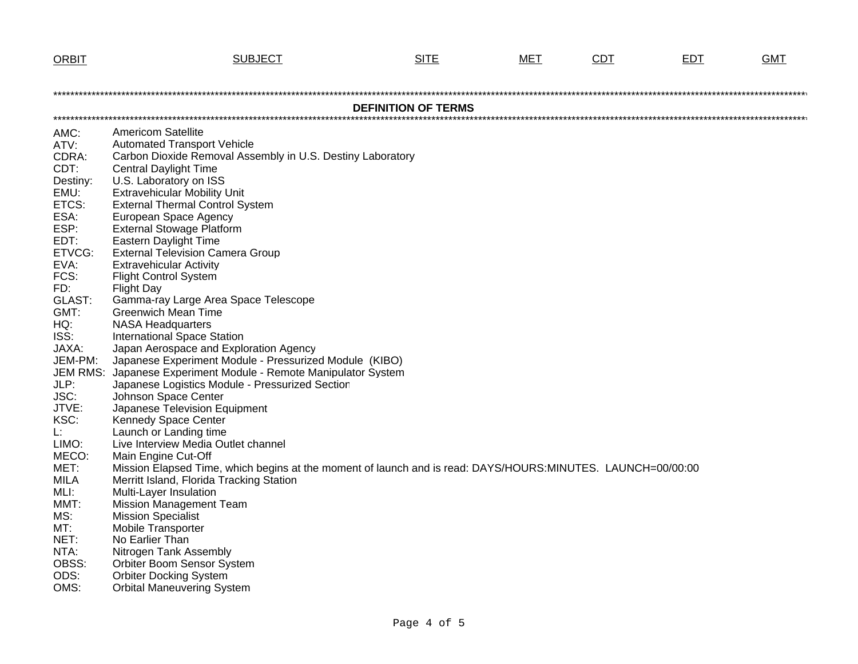| <b>ORBIT</b>        | <b>SUBJECT</b>                                                                                                                                          | <b>SITE</b> | MET | <b>CDT</b> | <b>EDT</b> | GMT |  |  |
|---------------------|---------------------------------------------------------------------------------------------------------------------------------------------------------|-------------|-----|------------|------------|-----|--|--|
|                     |                                                                                                                                                         |             |     |            |            |     |  |  |
|                     |                                                                                                                                                         |             |     |            |            |     |  |  |
|                     | <b>DEFINITION OF TERMS</b>                                                                                                                              |             |     |            |            |     |  |  |
|                     |                                                                                                                                                         |             |     |            |            |     |  |  |
| AMC:                | <b>Americom Satellite</b>                                                                                                                               |             |     |            |            |     |  |  |
| ATV:                | <b>Automated Transport Vehicle</b>                                                                                                                      |             |     |            |            |     |  |  |
| CDRA:               | Carbon Dioxide Removal Assembly in U.S. Destiny Laboratory                                                                                              |             |     |            |            |     |  |  |
| CDT:                | <b>Central Daylight Time</b>                                                                                                                            |             |     |            |            |     |  |  |
| Destiny:            | U.S. Laboratory on ISS<br><b>Extravehicular Mobility Unit</b>                                                                                           |             |     |            |            |     |  |  |
| EMU:<br>ETCS:       | <b>External Thermal Control System</b>                                                                                                                  |             |     |            |            |     |  |  |
| ESA:                | European Space Agency                                                                                                                                   |             |     |            |            |     |  |  |
| ESP:                | <b>External Stowage Platform</b>                                                                                                                        |             |     |            |            |     |  |  |
| EDT:                | <b>Eastern Daylight Time</b>                                                                                                                            |             |     |            |            |     |  |  |
| ETVCG:              | <b>External Television Camera Group</b>                                                                                                                 |             |     |            |            |     |  |  |
| EVA:                | <b>Extravehicular Activity</b>                                                                                                                          |             |     |            |            |     |  |  |
| FCS:                | <b>Flight Control System</b>                                                                                                                            |             |     |            |            |     |  |  |
| FD:                 | <b>Flight Day</b>                                                                                                                                       |             |     |            |            |     |  |  |
| GLAST:              | Gamma-ray Large Area Space Telescope                                                                                                                    |             |     |            |            |     |  |  |
| GMT:                | <b>Greenwich Mean Time</b>                                                                                                                              |             |     |            |            |     |  |  |
| HQ:<br>ISS:         | <b>NASA Headquarters</b><br><b>International Space Station</b>                                                                                          |             |     |            |            |     |  |  |
| JAXA:               | Japan Aerospace and Exploration Agency                                                                                                                  |             |     |            |            |     |  |  |
| JEM-PM:             | Japanese Experiment Module - Pressurized Module (KIBO)                                                                                                  |             |     |            |            |     |  |  |
| <b>JEM RMS:</b>     | Japanese Experiment Module - Remote Manipulator System                                                                                                  |             |     |            |            |     |  |  |
| JLP:                | Japanese Logistics Module - Pressurized Section                                                                                                         |             |     |            |            |     |  |  |
| JSC:                | Johnson Space Center                                                                                                                                    |             |     |            |            |     |  |  |
| JTVE:               | Japanese Television Equipment                                                                                                                           |             |     |            |            |     |  |  |
| KSC:                | Kennedy Space Center                                                                                                                                    |             |     |            |            |     |  |  |
| L:                  | Launch or Landing time                                                                                                                                  |             |     |            |            |     |  |  |
| LIMO:               | Live Interview Media Outlet channel                                                                                                                     |             |     |            |            |     |  |  |
| MECO:               | Main Engine Cut-Off                                                                                                                                     |             |     |            |            |     |  |  |
| MET:<br><b>MILA</b> | Mission Elapsed Time, which begins at the moment of launch and is read: DAYS/HOURS:MINUTES. LAUNCH=00/00:00<br>Merritt Island, Florida Tracking Station |             |     |            |            |     |  |  |
| MLI:                | Multi-Layer Insulation                                                                                                                                  |             |     |            |            |     |  |  |
| MMT:                | <b>Mission Management Team</b>                                                                                                                          |             |     |            |            |     |  |  |
| MS:                 | <b>Mission Specialist</b>                                                                                                                               |             |     |            |            |     |  |  |
| MT:                 | <b>Mobile Transporter</b>                                                                                                                               |             |     |            |            |     |  |  |
| NET:                | No Earlier Than                                                                                                                                         |             |     |            |            |     |  |  |
| NTA:                | Nitrogen Tank Assembly                                                                                                                                  |             |     |            |            |     |  |  |
| OBSS:               | Orbiter Boom Sensor System                                                                                                                              |             |     |            |            |     |  |  |
| ODS:                | <b>Orbiter Docking System</b>                                                                                                                           |             |     |            |            |     |  |  |
| OMS:                | <b>Orbital Maneuvering System</b>                                                                                                                       |             |     |            |            |     |  |  |